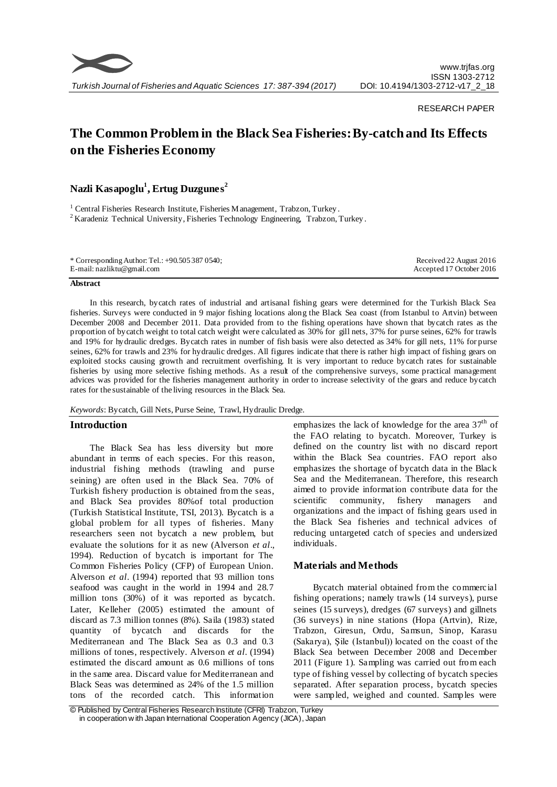

### RESEARCH PAPER

# **The Common Problem in the Black Sea Fisheries: By-catch and Its Effects on the Fisheries Economy**

**Nazli Kasapoglu<sup>1</sup> , Ertug Duzgunes<sup>2</sup>**

<sup>1</sup> Central Fisheries Research Institute, Fisheries Management, Trabzon, Turkey. <sup>2</sup> Karadeniz Technical University, Fisheries Technology Engineering, Trabzon, Turkey.

| * Corresponding Author: Tel.: $+90.5053870540$ ; | Received 22 August 2016  |
|--------------------------------------------------|--------------------------|
| E-mail: nazliktu@gmail.com                       | Accepted 17 October 2016 |
|                                                  |                          |

#### **Abstract**

In this research, bycatch rates of industrial and artisanal fishing gears were determined for the Turkish Black Sea fisheries. Surveys were conducted in 9 major fishing locations along the Black Sea coast (from Istanbul to Artvin) between December 2008 and December 2011. Data provided from to the fishing operations have shown that bycatch rates as the proportion of bycatch weight to total catch weight were calculated as 30% for gill nets, 37% for purse seines, 62% for trawls and 19% for hydraulic dredges. Bycatch rates in number of fish basis were also detected as 34% for gill nets, 11% for purse seines, 62% for trawls and 23% for hydraulic dredges. All figures indicate that there is rather high impact of fishing gears on exploited stocks causing growth and recruitment overfishing. It is very important to reduce bycatch rates for sustainable fisheries by using more selective fishing methods. As a result of the comprehensive surveys, some practical management advices was provided for the fisheries management authority in order to increase selectivity of the gears and reduce bycatch rates for the sustainable of the living resources in the Black Sea.

*Keywords*: Bycatch, Gill Nets, Purse Seine, Trawl, Hydraulic Dredge.

# **Introduction**

The Black Sea has less diversity but more abundant in terms of each species. For this reason, industrial fishing methods (trawling and purse seining) are often used in the Black Sea. 70% of Turkish fishery production is obtained from the seas, and Black Sea provides 80%of total production (Turkish Statistical Institute, TSI, 2013). Bycatch is a global problem for all types of fisheries. Many researchers seen not bycatch a new problem, but evaluate the solutions for it as new (Alverson *et al*., 1994). Reduction of bycatch is important for The Common Fisheries Policy (CFP) of European Union. Alverson *et al*. (1994) reported that 93 million tons seafood was caught in the world in 1994 and 28.7 million tons (30%) of it was reported as bycatch. Later, Kelleher (2005) estimated the amount of discard as 7.3 million tonnes (8%). Saila (1983) stated quantity of bycatch and discards for the Mediterranean and The Black Sea as 0.3 and 0.3 millions of tones, respectively. Alverson *et al*. (1994) estimated the discard amount as 0.6 millions of tons in the same area. Discard value for Mediterranean and Black Seas was determined as 24% of the 1.5 million tons of the recorded catch. This information

emphasizes the lack of knowledge for the area  $37<sup>th</sup>$  of the FAO relating to bycatch. Moreover, Turkey is defined on the country list with no discard report within the Black Sea countries. FAO report also emphasizes the shortage of bycatch data in the Black Sea and the Mediterranean. Therefore, this research aimed to provide information contribute data for the scientific community, fishery managers and organizations and the impact of fishing gears used in the Black Sea fisheries and technical advices of reducing untargeted catch of species and undersized individuals.

# **Materials and Methods**

Bycatch material obtained from the commercial fishing operations; namely trawls (14 surveys), purse seines (15 surveys), dredges (67 surveys) and gillnets (36 surveys) in nine stations (Hopa (Artvin), Rize, Trabzon, Giresun, Ordu, Samsun, Sinop, Karasu (Sakarya), Şile (Istanbul)) located on the coast of the Black Sea between December 2008 and December 2011 (Figure 1). Sampling was carried out from each type of fishing vessel by collecting of bycatch species separated. After separation process, bycatch species were sampled, weighed and counted. Samples were

<sup>©</sup> Published by Central Fisheries Research Institute (CFRI) Trabzon, Turkey in cooperation w ith Japan International Cooperation Agency (JICA), Japan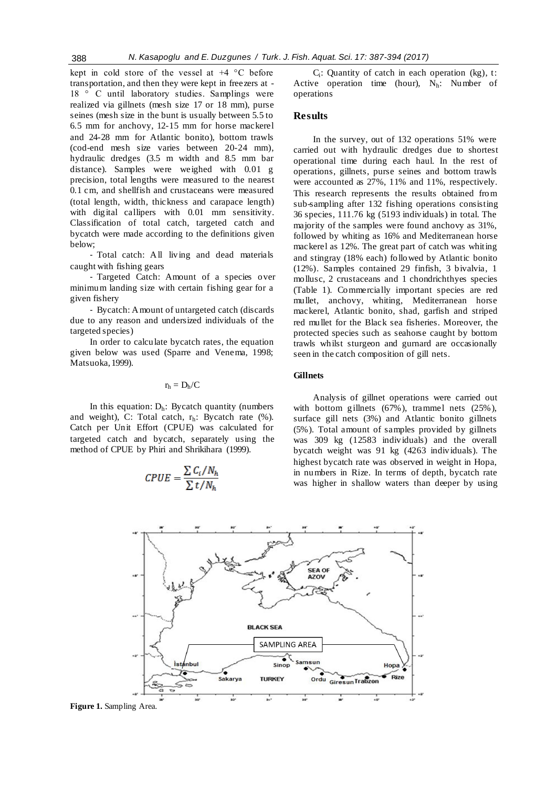kept in cold store of the vessel at +4 °C before transportation, and then they were kept in freezers at - 18 ° C until laboratory studies. Samplings were realized via gillnets (mesh size 17 or 18 mm), purse seines (mesh size in the bunt is usually between 5.5 to 6.5 mm for anchovy, 12-15 mm for horse mackerel and 24-28 mm for Atlantic bonito), bottom trawls (cod-end mesh size varies between 20-24 mm), hydraulic dredges (3.5 m width and 8.5 mm bar distance). Samples were weighed with 0.01 g precision, total lengths were measured to the nearest 0.1 cm, and shellfish and crustaceans were measured (total length, width, thickness and carapace length) with digital callipers with 0.01 mm sensitivity. Classification of total catch, targeted catch and bycatch were made according to the definitions given below;

- Total catch: All living and dead materials caught with fishing gears

- Targeted Catch: Amount of a species over minimum landing size with certain fishing gear for a given fishery

- Bycatch: Amount of untargeted catch (discards due to any reason and undersized individuals of the targeted species)

In order to calculate bycatch rates, the equation given below was used (Sparre and Venema, 1998; Matsuoka, 1999).

# $r_h = D_h/C$

In this equation:  $D_h$ : Bycatch quantity (numbers and weight), C: Total catch, rh: Bycatch rate (%). Catch per Unit Effort (CPUE) was calculated for targeted catch and bycatch, separately using the method of CPUE by Phiri and Shrikihara (1999).

$$
CPUE = \frac{\sum C_i / N_h}{\sum t / N_h}
$$

 $C_i$ : Quantity of catch in each operation (kg), t: Active operation time (hour),  $N_h$ : Number of operations

# **Results**

In the survey, out of 132 operations 51% were carried out with hydraulic dredges due to shortest operational time during each haul. In the rest of operations, gillnets, purse seines and bottom trawls were accounted as 27%, 11% and 11%, respectively. This research represents the results obtained from sub-sampling after 132 fishing operations consisting 36 species, 111.76 kg (5193 individuals) in total. The majority of the samples were found anchovy as 31%, followed by whiting as 16% and Mediterranean horse mackerel as 12%. The great part of catch was whiting and stingray (18% each) followed by Atlantic bonito (12%). Samples contained 29 finfish, 3 bivalvia, 1 mollusc, 2 crustaceans and 1 chondrichthyes species (Table 1). Commercially important species are red mullet, anchovy, whiting, Mediterranean horse mackerel, Atlantic bonito, shad, garfish and striped red mullet for the Black sea fisheries. Moreover, the protected species such as seahorse caught by bottom trawls whilst sturgeon and gurnard are occasionally seen in the catch composition of gill nets.

# **Gillnets**

Analysis of gillnet operations were carried out with bottom gillnets (67%), trammel nets (25%), surface gill nets (3%) and Atlantic bonito gillnets (5%). Total amount of samples provided by gillnets was 309 kg (12583 individuals) and the overall bycatch weight was 91 kg (4263 individuals). The highest bycatch rate was observed in weight in Hopa, in numbers in Rize. In terms of depth, bycatch rate was higher in shallow waters than deeper by using



**Figure 1.** Sampling Area.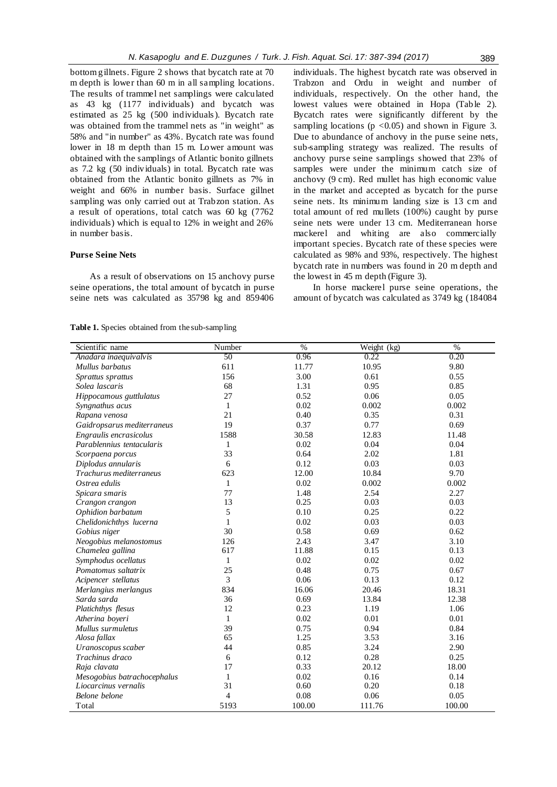bottom gillnets. Figure 2 shows that bycatch rate at 70 m depth is lower than 60 m in all sampling locations. The results of trammel net samplings were calculated as 43 kg (1177 individuals) and bycatch was estimated as 25 kg (500 individuals). Bycatch rate was obtained from the trammel nets as "in weight" as 58% and "in number" as 43%. Bycatch rate was found lower in 18 m depth than 15 m. Lower amount was obtained with the samplings of Atlantic bonito gillnets as 7.2 kg (50 individuals) in total. Bycatch rate was obtained from the Atlantic bonito gillnets as 7% in weight and 66% in number basis. Surface gillnet sampling was only carried out at Trabzon station. As a result of operations, total catch was 60 kg (7762 individuals) which is equal to 12% in weight and 26% in number basis.

# **Purse Seine Nets**

As a result of observations on 15 anchovy purse seine operations, the total amount of bycatch in purse seine nets was calculated as 35798 kg and 859406 individuals. The highest bycatch rate was observed in Trabzon and Ordu in weight and number of individuals, respectively. On the other hand, the lowest values were obtained in Hopa (Table 2). Bycatch rates were significantly different by the sampling locations ( $p < 0.05$ ) and shown in Figure 3. Due to abundance of anchovy in the purse seine nets, sub-sampling strategy was realized. The results of anchovy purse seine samplings showed that 23% of samples were under the minimum catch size of anchovy (9 cm). Red mullet has high economic value in the market and accepted as bycatch for the purse seine nets. Its minimum landing size is 13 cm and total amount of red mullets (100%) caught by purse seine nets were under 13 cm. Mediterranean horse mackerel and whiting are also commercially important species. Bycatch rate of these species were calculated as 98% and 93%, respectively. The highest bycatch rate in numbers was found in 20 m depth and the lowest in 45 m depth (Figure 3).

In horse mackerel purse seine operations, the amount of bycatch was calculated as 3749 kg (184084

#### **Table 1.** Species obtained from the sub-sampling

| Scientific name             | Number         | $\frac{0}{6}$ | Weight (kg) | $\frac{0}{6}$ |
|-----------------------------|----------------|---------------|-------------|---------------|
| Anadara inaequivalvis       | 50             | 0.96          | 0.22        | 0.20          |
| Mullus barbatus             | 611            | 11.77         | 10.95       | 9.80          |
| Sprattus sprattus           | 156            | 3.00          | 0.61        | 0.55          |
| Solea lascaris              | 68             | 1.31          | 0.95        | 0.85          |
| Hippocamous guttlulatus     | 27             | 0.52          | 0.06        | 0.05          |
| Syngnathus acus             | 1              | 0.02          | 0.002       | 0.002         |
| Rapana venosa               | 21             | 0.40          | 0.35        | 0.31          |
| Gaidropsarus mediterraneus  | 19             | 0.37          | 0.77        | 0.69          |
| Engraulis encrasicolus      | 1588           | 30.58         | 12.83       | 11.48         |
| Parablennius tentacularis   | $\mathbf{1}$   | 0.02          | 0.04        | 0.04          |
| Scorpaena porcus            | 33             | 0.64          | 2.02        | 1.81          |
| Diplodus annularis          | 6              | 0.12          | 0.03        | 0.03          |
| Trachurus mediterraneus     | 623            | 12.00         | 10.84       | 9.70          |
| Ostrea edulis               | $\mathbf{1}$   | 0.02          | 0.002       | 0.002         |
| Spicara smaris              | 77             | 1.48          | 2.54        | 2.27          |
| Crangon crangon             | 13             | 0.25          | 0.03        | 0.03          |
| Ophidion barbatum           | 5              | 0.10          | 0.25        | 0.22          |
| Chelidonichthys lucerna     | 1              | 0.02          | 0.03        | 0.03          |
| Gobius niger                | 30             | 0.58          | 0.69        | 0.62          |
| Neogobius melanostomus      | 126            | 2.43          | 3.47        | 3.10          |
| Chamelea gallina            | 617            | 11.88         | 0.15        | 0.13          |
| Symphodus ocellatus         | 1              | 0.02          | 0.02        | 0.02          |
| Pomatomus saltatrix         | 25             | 0.48          | 0.75        | 0.67          |
| Acipencer stellatus         | 3              | 0.06          | 0.13        | 0.12          |
| Merlangius merlangus        | 834            | 16.06         | 20.46       | 18.31         |
| Sarda sarda                 | 36             | 0.69          | 13.84       | 12.38         |
| Platichthys flesus          | 12             | 0.23          | 1.19        | 1.06          |
| Atherina boyeri             | $\mathbf{1}$   | 0.02          | 0.01        | 0.01          |
| Mullus surmuletus           | 39             | 0.75          | 0.94        | 0.84          |
| Alosa fallax                | 65             | 1.25          | 3.53        | 3.16          |
| Uranoscopus scaber          | 44             | 0.85          | 3.24        | 2.90          |
| Trachinus draco             | 6              | 0.12          | 0.28        | 0.25          |
| Raja clavata                | 17             | 0.33          | 20.12       | 18.00         |
| Mesogobius batrachocephalus | 1              | 0.02          | 0.16        | 0.14          |
| Liocarcinus vernalis        | 31             | 0.60          | 0.20        | 0.18          |
| Belone belone               | $\overline{4}$ | 0.08          | 0.06        | 0.05          |
| Total                       | 5193           | 100.00        | 111.76      | 100.00        |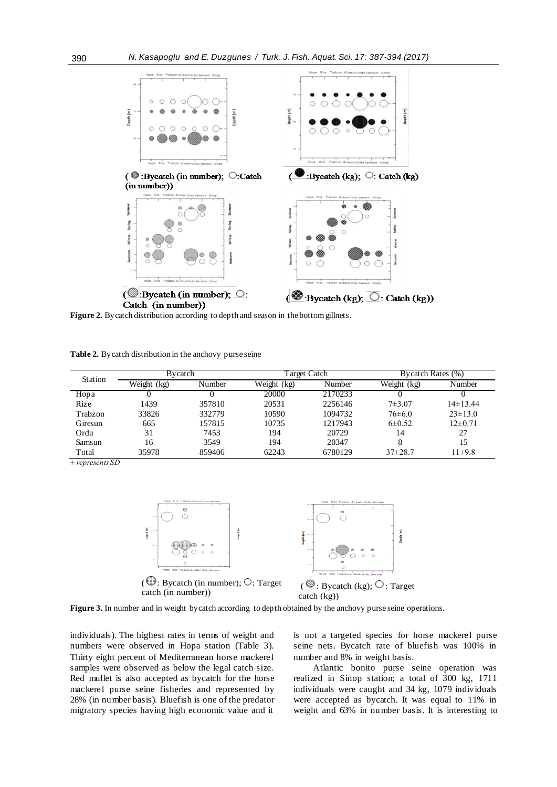

**Figure 2.** Bycatch distribution according to depth and season in the bottom gillnets.

**Table 2.** Bycatch distribution in the anchovy purse seine

| Station | Bycatch     |        | Target Catch |         | Bycatch Rates (%) |               |
|---------|-------------|--------|--------------|---------|-------------------|---------------|
|         | Weight (kg) | Number | Weight (kg)  | Number  | Weight (kg)       | Number        |
| Hopa    |             |        | 20000        | 2170233 |                   |               |
| Rize    | 1439        | 357810 | 20531        | 2256146 | $7 + 3.07$        | $14\pm 13.44$ |
| Trabzon | 33826       | 332779 | 10590        | 1094732 | $76 \pm 6.0$      | $23 \pm 13.0$ |
| Giresun | 665         | 157815 | 10735        | 1217943 | $6\pm 0.52$       | $12\pm 0.71$  |
| Ordu    | 31          | 7453   | 194          | 20729   | 14                | 27            |
| Samsun  | 16          | 3549   | 194          | 20347   | 8                 | 15            |
| Total   | 35978       | 859406 | 62243        | 6780129 | $37\pm 28.7$      | $11\pm9.8$    |

*± represents SD*





 $(\bigoplus$ : Bycatch (in number);  $\bigcirc$ : Target catch (in number))

( $\circled{e}$ : Bycatch (kg);  $\circlearrowright$ : Target catch (kg))

**Figure 3.** In number and in weight bycatch according to depth obtained by the anchovy purse seine operations.

individuals). The highest rates in terms of weight and numbers were observed in Hopa station (Table 3). Thirty eight percent of Mediterranean horse mackerel samples were observed as below the legal catch size. Red mullet is also accepted as bycatch for the horse mackerel purse seine fisheries and represented by 28% (in number basis). Bluefish is one of the predator migratory species having high economic value and it is not a targeted species for horse mackerel purse seine nets. Bycatch rate of bluefish was 100% in number and 8% in weight basis.

Atlantic bonito purse seine operation was realized in Sinop station; a total of 300 kg, 1711 individuals were caught and 34 kg, 1079 individuals were accepted as bycatch. It was equal to 11% in weight and 63% in number basis. It is interesting to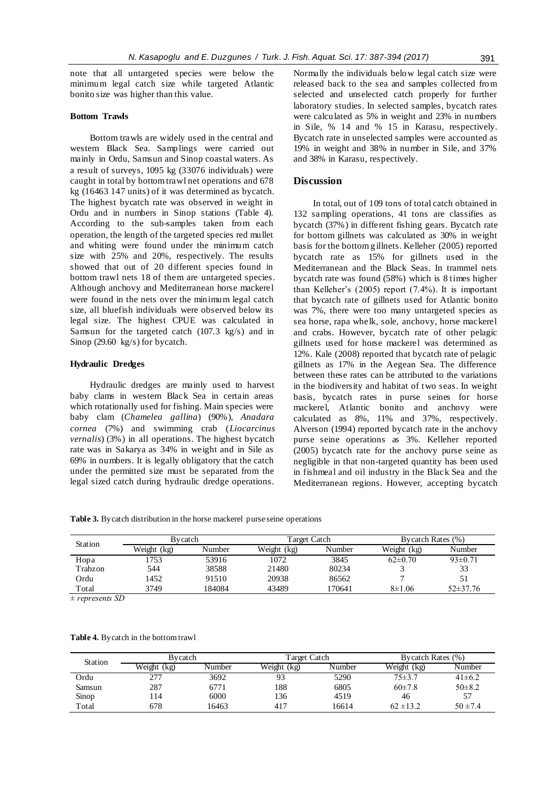note that all untargeted species were below the minimum legal catch size while targeted Atlantic bonito size was higher than this value.

#### **Bottom Trawls**

Bottom trawls are widely used in the central and western Black Sea. Samplings were carried out mainly in Ordu, Samsun and Sinop coastal waters. As a result of surveys, 1095 kg (33076 individuals) were caught in total by bottom trawl net operations and 678 kg (16463 147 units) of it was determined as bycatch. The highest bycatch rate was observed in weight in Ordu and in numbers in Sinop stations (Table 4). According to the sub-samples taken from each operation, the length of the targeted species red mullet and whiting were found under the minimum catch size with 25% and 20%, respectively. The results showed that out of 20 different species found in bottom trawl nets 18 of them are untargeted species. Although anchovy and Mediterranean horse mackerel were found in the nets over the minimum legal catch size, all bluefish individuals were observed below its legal size. The highest CPUE was calculated in Samsun for the targeted catch (107.3 kg/s) and in Sinop (29.60 kg/s) for bycatch.

# **Hydraulic Dredges**

Hydraulic dredges are mainly used to harvest baby clams in western Black Sea in certain areas which rotationally used for fishing. Main species were baby clam (*Chamelea gallina*) (90%), *Anadara cornea* (7%) and swimming crab (*Liocarcinus vernalis*) (3%) in all operations. The highest bycatch rate was in Sakarya as 34% in weight and in Sile as 69% in numbers. It is legally obligatory that the catch under the permitted size must be separated from the legal sized catch during hydraulic dredge operations.

Normally the individuals below legal catch size were released back to the sea and samples collected from selected and unselected catch properly for further laboratory studies. In selected samples, bycatch rates were calculated as 5% in weight and 23% in numbers in Sile, % 14 and % 15 in Karasu, respectively. Bycatch rate in unselected samples were accounted as 19% in weight and 38% in number in Sile, and 37% and 38% in Karasu, respectively.

# **Discussion**

In total, out of 109 tons of total catch obtained in 132 sampling operations, 41 tons are classifies as bycatch (37%) in different fishing gears. Bycatch rate for bottom gillnets was calculated as 30% in weight basis for the bottom g illnets. Kelleher (2005) reported bycatch rate as 15% for gillnets used in the Mediterranean and the Black Seas. In trammel nets bycatch rate was found (58%) which is 8 times higher than Kelleher's (2005) report (7.4%). It is important that bycatch rate of gillnets used for Atlantic bonito was 7%, there were too many untargeted species as sea horse, rapa whelk, sole, anchovy, horse mackerel and crabs. However, bycatch rate of other pelagic gillnets used for horse mackerel was determined as 12%. Kale (2008) reported that bycatch rate of pelagic gillnets as 17% in the Aegean Sea. The difference between these rates can be attributed to the variations in the biodiversity and habitat of two seas. In weight basis, bycatch rates in purse seines for horse mackerel, Atlantic bonito and anchovy were calculated as 8%, 11% and 37%, respectively. Alverson (1994) reported bycatch rate in the anchovy purse seine operations as 3%. Kelleher reported (2005) bycatch rate for the anchovy purse seine as negligible in that non-targeted quantity has been used in fishmeal and oil industry in the Black Sea and the Mediterranean regions. However, accepting bycatch

**Table 3.** Bycatch distribution in the horse mackerel purse seine operations

| <b>Station</b> |             | Bvcatch |             | Target Catch | Bycatch Rates (%) |               |  |
|----------------|-------------|---------|-------------|--------------|-------------------|---------------|--|
|                | Weight (kg) | Number  | Weight (kg) | Number       | Weight (kg)       | Number        |  |
| Hopa           | 1753        | 53916   | 1072        | 3845         | $62\pm0.70$       | $93 \pm 0.71$ |  |
| Trabzon        | 544         | 38588   | 21480       | 80234        |                   | 33            |  |
| Ordu           | 1452        | 91510   | 20938       | 86562        |                   |               |  |
| Total          | 3749        | 184084  | 43489       | 170641       | $8\pm1.06$        | $52\pm37.76$  |  |

*± represents SD*

| Station |             | Bycatch |             | Target Catch | Bycatch Rates (%) |              |  |
|---------|-------------|---------|-------------|--------------|-------------------|--------------|--|
|         | Weight (kg) | Number  | Weight (kg) | Number       | Weight (kg)       | Number       |  |
| Ordu    | 277         | 3692    | 93          | 5290         | $75\pm3.7$        | $41\pm 6.2$  |  |
| Samsun  | 287         | 6771    | 188         | 6805         | $60\pm7.8$        | $50 \pm 8.2$ |  |
| Sinop   | ! 14        | 6000    | 136         | 4519         | 46                | 57           |  |
| Total   | 678         | 16463   | 417         | 16614        | $62 \pm 13.2$     | $50 \pm 7.4$ |  |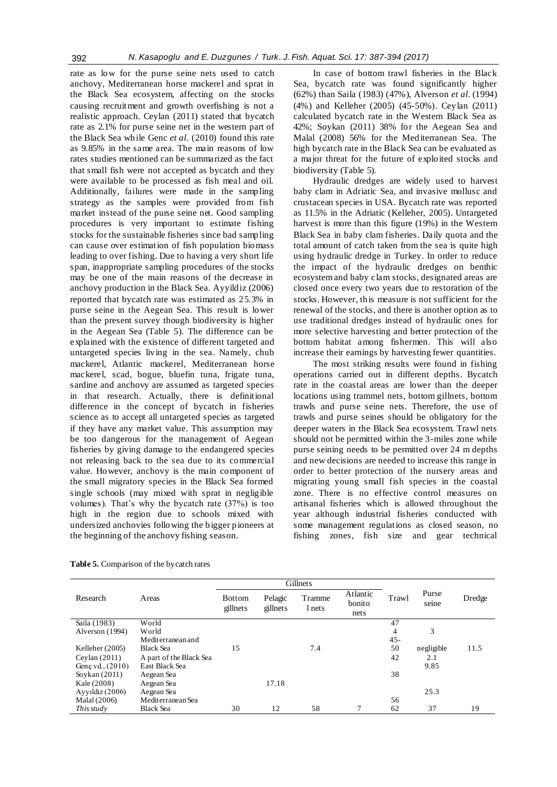rate as low for the purse seine nets used to catch anchovy, Mediterranean horse mackerel and sprat in the Black Sea ecosystem, affecting on the stocks causing recruitment and growth overfishing is not a realistic approach. Ceylan (2011) stated that bycatch rate as 2.1% for purse seine net in the western part of the Black Sea while Genc *et al*. (2010) found this rate as 9.85% in the same area. The main reasons of low rates studies mentioned can be summarized as the fact that small fish were not accepted as bycatch and they were available to be processed as fish meal and oil. Additionally, failures were made in the sampling strategy as the samples were provided from fish market instead of the purse seine net. Good sampling procedures is very important to estimate fishing stocks for the sustainable fisheries since bad sampling can cause over estimation of fish population biomass leading to over fishing. Due to having a very short life span, inappropriate sampling procedures of the stocks may be one of the main reasons of the decrease in anchovy production in the Black Sea. Ayyildiz (2006) reported that bycatch rate was estimated as 25.3% in purse seine in the Aegean Sea. This result is lower than the present survey though biodiversity is higher in the Aegean Sea (Table 5). The difference can be explained with the existence of different targeted and untargeted species living in the sea. Namely, chub mackerel, Atlantic mackerel, Mediterranean horse mackerel, scad, bogue, bluefin tuna, frigate tuna, sardine and anchovy are assumed as targeted species in that research. Actually, there is definitional difference in the concept of bycatch in fisheries science as to accept all untargeted species as targeted if they have any market value. This assumption may be too dangerous for the management of Aegean fisheries by giving damage to the endangered species not releasing back to the sea due to its commercial value. However, anchovy is the main component of the small migratory species in the Black Sea formed single schools (may mixed with sprat in negligible volumes). That's why the bycatch rate (37%) is too high in the region due to schools mixed with undersized anchovies following the bigger pioneers at the beginning of the anchovy fishing season.

In case of bottom trawl fisheries in the Black Sea, bycatch rate was found significantly higher (62%) than Saila (1983) (47%), Alverson *et al.* (1994) (4%) and Kelleher (2005) (45-50%). Ceylan (2011) calculated bycatch rate in the Western Black Sea as 42%; Soykan (2011) 38% for the Aegean Sea and Malal (2008) 56% for the Mediterranean Sea. The high bycatch rate in the Black Sea can be evaluated as a major threat for the future of exploited stocks and biodiversity (Table 5).

Hydraulic dredges are widely used to harvest baby clam in Adriatic Sea, and invasive mollusc and crustacean species in USA. Bycatch rate was reported as 11.5% in the Adriatic (Kelleher, 2005). Untargeted harvest is more than this figure (19%) in the Western Black Sea in baby clam fisheries. Daily quota and the total amount of catch taken from the sea is quite high using hydraulic dredge in Turkey. In order to reduce the impact of the hydraulic dredges on benthic ecosystem and baby clam stocks, designated areas are closed once every two years due to restoration of the stocks. However, this measure is not sufficient for the renewal of the stocks, and there is another option as to use traditional dredges instead of hydraulic ones for more selective harvesting and better protection of the bottom habitat among fishermen. This will also increase their earnings by harvesting fewer quantities.

The most striking results were found in fishing operations carried out in different depths. Bycatch rate in the coastal areas are lower than the deeper locations using trammel nets, bottom gillnets, bottom trawls and purse seine nets. Therefore, the use of trawls and purse seines should be obligatory for the deeper waters in the Black Sea ecosystem. Trawl nets should not be permitted within the 3-miles zone while purse seining needs to be permitted over 24 m depths and new decisions are needed to increase this range in order to better protection of the nursery areas and migrating young small fish species in the coastal zone. There is no effective control measures on artisanal fisheries which is allowed throughout the year although industrial fisheries conducted with some management regulations as closed season, no fishing zones, fish size and gear technical

|                    |                         | Gillnets                  |                     |                  |                            |        |                |        |
|--------------------|-------------------------|---------------------------|---------------------|------------------|----------------------------|--------|----------------|--------|
| Research           | Areas                   | <b>Bottom</b><br>gillnets | Pelagic<br>gillnets | Tramme<br>l nets | Atlantic<br>bonito<br>nets | Trawl  | Purse<br>seine | Dredge |
| Saila (1983)       | World                   |                           |                     |                  |                            | 47     |                |        |
| Alverson (1994)    | World                   |                           |                     |                  |                            | 4      | 3              |        |
|                    | Mediterranean and       |                           |                     |                  |                            | $45 -$ |                |        |
| Kelleher (2005)    | <b>Black Sea</b>        | 15                        |                     | 7.4              |                            | 50     | negligible     | 11.5   |
| Ceylan $(2011)$    | A part of the Black Sea |                           |                     |                  |                            | 42     | 2.1            |        |
| Genc vd., $(2010)$ | East Black Sea          |                           |                     |                  |                            |        | 9.85           |        |
| Soykan $(2011)$    | Aegean Sea              |                           |                     |                  |                            | 38     |                |        |
| Kale (2008)        | Aegean Sea              |                           | 17.18               |                  |                            |        |                |        |
| Ayyıldız $(2006)$  | Aegean Sea              |                           |                     |                  |                            |        | 25.3           |        |
| Malal (2006)       | Mediterranean Sea       |                           |                     |                  |                            | 56     |                |        |
| This study         | <b>Black Sea</b>        | 30                        | 12                  | 58               |                            | 62     | 37             | 19     |

**Table 5.** Comparison of the bycatch rates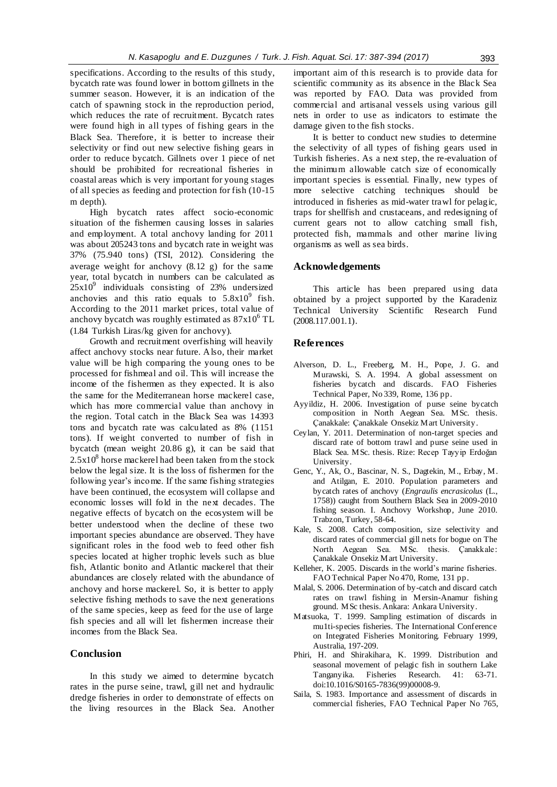specifications. According to the results of this study, bycatch rate was found lower in bottom gillnets in the summer season. However, it is an indication of the catch of spawning stock in the reproduction period, which reduces the rate of recruitment. Bycatch rates were found high in all types of fishing gears in the Black Sea. Therefore, it is better to increase their selectivity or find out new selective fishing gears in order to reduce bycatch. Gillnets over 1 piece of net should be prohibited for recreational fisheries in coastal areas which is very important for young stages of all species as feeding and protection for fish (10-15 m depth).

High bycatch rates affect socio-economic situation of the fishermen causing losses in salaries and employment. A total anchovy landing for 2011 was about 205243 tons and bycatch rate in weight was 37% (75.940 tons) (TSI, 2012). Considering the average weight for anchovy (8.12 g) for the same year, total bycatch in numbers can be calculated as  $25x10^9$  individuals consisting of 23% undersized anchovies and this ratio equals to  $5.8x10^{9}$  fish. According to the 2011 market prices, total value of anchovy bycatch was roughly estimated as  $87x10^6$  TL (1.84 Turkish Liras/kg given for anchovy).

Growth and recruitment overfishing will heavily affect anchovy stocks near future. Also, their market value will be high comparing the young ones to be processed for fishmeal and oil. This will increase the income of the fishermen as they expected. It is also the same for the Mediterranean horse mackerel case, which has more commercial value than anchovy in the region. Total catch in the Black Sea was 14393 tons and bycatch rate was calculated as 8% (1151 tons). If weight converted to number of fish in bycatch (mean weight 20.86 g), it can be said that  $2.5x10<sup>8</sup>$  horse mackerel had been taken from the stock below the legal size. It is the loss of fishermen for the following year's income. If the same fishing strategies have been continued, the ecosystem will collapse and economic losses will fold in the next decades. The negative effects of bycatch on the ecosystem will be better understood when the decline of these two important species abundance are observed. They have significant roles in the food web to feed other fish species located at higher trophic levels such as blue fish, Atlantic bonito and Atlantic mackerel that their abundances are closely related with the abundance of anchovy and horse mackerel. So, it is better to apply selective fishing methods to save the next generations of the same species, keep as feed for the use of large fish species and all will let fishermen increase their incomes from the Black Sea.

# **Conclusion**

In this study we aimed to determine bycatch rates in the purse seine, trawl, gill net and hydraulic dredge fisheries in order to demonstrate of effects on the living resources in the Black Sea. Another important aim of this research is to provide data for scientific community as its absence in the Black Sea was reported by FAO. Data was provided from commercial and artisanal vessels using various gill nets in order to use as indicators to estimate the damage given to the fish stocks.

It is better to conduct new studies to determine the selectivity of all types of fishing gears used in Turkish fisheries. As a next step, the re-evaluation of the minimum allowable catch size of economically important species is essential. Finally, new types of more selective catching techniques should be introduced in fisheries as mid-water trawl for pelagic, traps for shellfish and crustaceans, and redesigning of current gears not to allow catching small fish, protected fish, mammals and other marine living organisms as well as sea birds.

#### **Acknowledgements**

This article has been prepared using data obtained by a project supported by the Karadeniz Technical University Scientific Research Fund (2008.117.001.1).

#### **References**

- Alverson, D. L., Freeberg, M. H., Pope, J. G. and Murawski, S. A. 1994. A global assessment on fisheries bycatch and discards. FAO Fisheries Technical Paper, No 339, Rome, 136 pp.
- Ayyildiz, H. 2006. Investigation of purse seine bycatch composition in North Aegean Sea. MSc. thesis. Çanakkale: Çanakkale Onsekiz Mart University.
- Ceylan, Y. 2011. Determination of non-target species and discard rate of bottom trawl and purse seine used in Black Sea. MSc. thesis. Rize: Recep Tayyip Erdoğan University.
- Genc, Y., Ak, O., Bascinar, N. S., Dagtekin, M., Erbay, M. and Atilgan, E. 2010. Population parameters and bycatch rates of anchovy (*Engraulis encrasicolus* (L., 1758)) caught from Southern Black Sea in 2009-2010 fishing season. I. Anchovy Workshop, June 2010. Trabzon, Turkey, 58-64.
- Kale, S. 2008. Catch composition, size selectivity and discard rates of commercial gill nets for bogue on The North Aegean Sea. MSc. thesis. Çanakkale: Çanakkale Onsekiz Mart University.
- Kelleher, K. 2005. Discards in the world's marine fisheries. FAO Technical Paper No 470, Rome, 131 pp.
- Malal, S. 2006. Determination of by-catch and discard catch rates on trawl fishing in Mersin-Anamur fishing ground. MSc thesis. Ankara: Ankara University.
- Matsuoka, T. 1999. Sampling estimation of discards in mu1ti-species fisheries. The International Conference on Integrated Fisheries Monitoring. February 1999, Australia, 197-209.
- Phiri, H. and Shirakihara, K. 1999. Distribution and seasonal movement of pelagic fish in southern Lake Tanganyika. Fisheries Research. 41: 63-71. doi:10.1016/S0165-7836(99)00008-9.
- Saila, S. 1983. Importance and assessment of discards in commercial fisheries, FAO Technical Paper No 765,